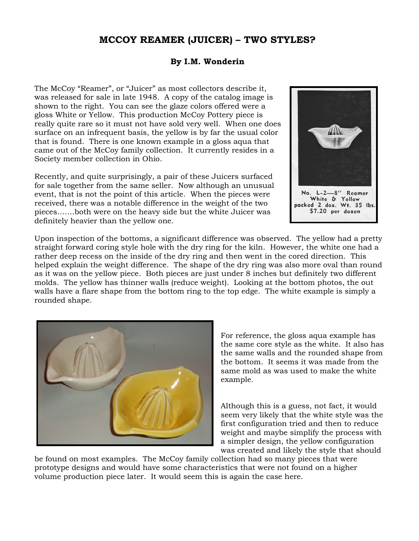## **MCCOY REAMER (JUICER) – TWO STYLES?**

## **By I.M. Wonderin**

The McCoy "Reamer", or "Juicer" as most collectors describe it, was released for sale in late 1948. A copy of the catalog image is shown to the right. You can see the glaze colors offered were a gloss White or Yellow. This production McCoy Pottery piece is really quite rare so it must not have sold very well. When one does surface on an infrequent basis, the yellow is by far the usual color that is found. There is one known example in a gloss aqua that came out of the McCoy family collection. It currently resides in a Society member collection in Ohio.

Recently, and quite surprisingly, a pair of these Juicers surfaced for sale together from the same seller. Now although an unusual event, that is not the point of this article. When the pieces were received, there was a notable difference in the weight of the two pieces…….both were on the heavy side but the white Juicer was definitely heavier than the yellow one.



Upon inspection of the bottoms, a significant difference was observed. The yellow had a pretty straight forward coring style hole with the dry ring for the kiln. However, the white one had a rather deep recess on the inside of the dry ring and then went in the cored direction. This helped explain the weight difference. The shape of the dry ring was also more oval than round as it was on the yellow piece. Both pieces are just under 8 inches but definitely two different molds. The yellow has thinner walls (reduce weight). Looking at the bottom photos, the out walls have a flare shape from the bottom ring to the top edge. The white example is simply a rounded shape.



For reference, the gloss aqua example has the same core style as the white. It also has the same walls and the rounded shape from the bottom. It seems it was made from the same mold as was used to make the white example.

Although this is a guess, not fact, it would seem very likely that the white style was the first configuration tried and then to reduce weight and maybe simplify the process with a simpler design, the yellow configuration was created and likely the style that should

be found on most examples. The McCoy family collection had so many pieces that were prototype designs and would have some characteristics that were not found on a higher volume production piece later. It would seem this is again the case here.